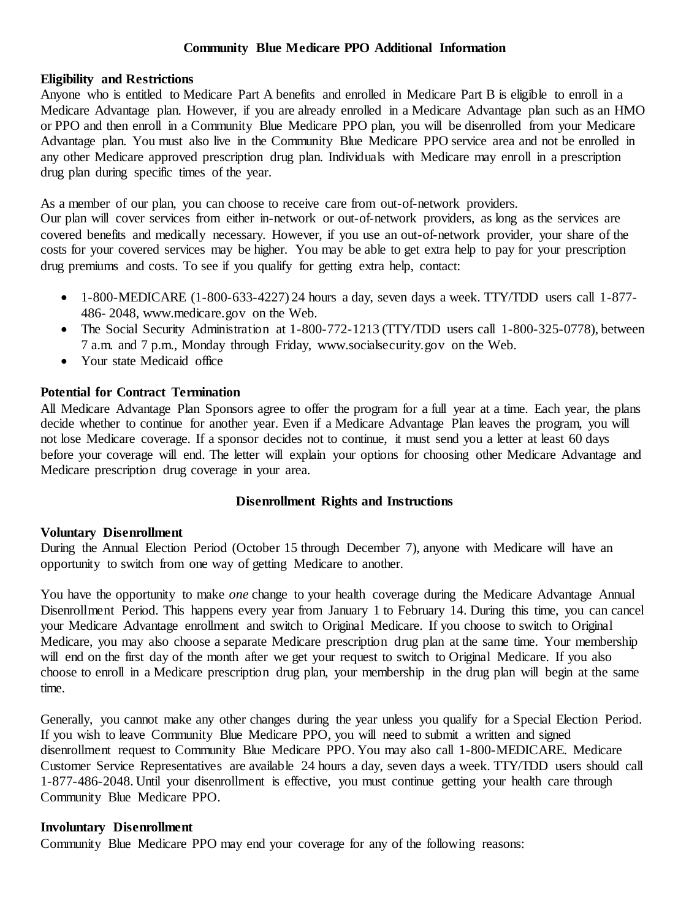# **Community Blue Medicare PPO Additional Information**

#### **Eligibility and Restrictions**

Anyone who is entitled to Medicare Part A benefits and enrolled in Medicare Part B is eligible to enroll in a Medicare Advantage plan. However, if you are already enrolled in a Medicare Advantage plan such as an HMO or PPO and then enroll in a Community Blue Medicare PPO plan, you will be disenrolled from your Medicare Advantage plan. You must also live in the Community Blue Medicare PPO service area and not be enrolled in any other Medicare approved prescription drug plan. Individuals with Medicare may enroll in a prescription drug plan during specific times of the year.

As a member of our plan, you can choose to receive care from out-of-network providers.

Our plan will cover services from either in-network or out-of-network providers, as long as the services are covered benefits and medically necessary. However, if you use an out-of-network provider, your share of the costs for your covered services may be higher. You may be able to get extra help to pay for your prescription drug premiums and costs. To see if you qualify for getting extra help, contact:

- 1-800-MEDICARE (1-800-633-4227) 24 hours a day, seven days a week. TTY/TDD users call 1-877- 486- 2048, www.medicare.gov on the Web.
- The Social Security Administration at 1-800-772-1213 (TTY/TDD users call 1-800-325-0778), between 7 a.m. and 7 p.m., Monday through Friday, www.socialsecurity.gov on the Web.
- Your state Medicaid office

### **Potential for Contract Termination**

All Medicare Advantage Plan Sponsors agree to offer the program for a full year at a time. Each year, the plans decide whether to continue for another year. Even if a Medicare Advantage Plan leaves the program, you will not lose Medicare coverage. If a sponsor decides not to continue, it must send you a letter at least 60 days before your coverage will end. The letter will explain your options for choosing other Medicare Advantage and Medicare prescription drug coverage in your area.

#### **Disenrollment Rights and Instructions**

#### **Voluntary Disenrollment**

During the Annual Election Period (October 15 through December 7), anyone with Medicare will have an opportunity to switch from one way of getting Medicare to another.

You have the opportunity to make *one* change to your health coverage during the Medicare Advantage Annual Disenrollment Period. This happens every year from January 1 to February 14. During this time, you can cancel your Medicare Advantage enrollment and switch to Original Medicare. If you choose to switch to Original Medicare, you may also choose a separate Medicare prescription drug plan at the same time. Your membership will end on the first day of the month after we get your request to switch to Original Medicare. If you also choose to enroll in a Medicare prescription drug plan, your membership in the drug plan will begin at the same time.

Generally, you cannot make any other changes during the year unless you qualify for a Special Election Period. If you wish to leave Community Blue Medicare PPO, you will need to submit a written and signed disenrollment request to Community Blue Medicare PPO. You may also call 1-800-MEDICARE. Medicare Customer Service Representatives are available 24 hours a day, seven days a week. TTY/TDD users should call 1-877-486-2048. Until your disenrollment is effective, you must continue getting your health care through Community Blue Medicare PPO.

### **Involuntary Disenrollment**

Community Blue Medicare PPO may end your coverage for any of the following reasons: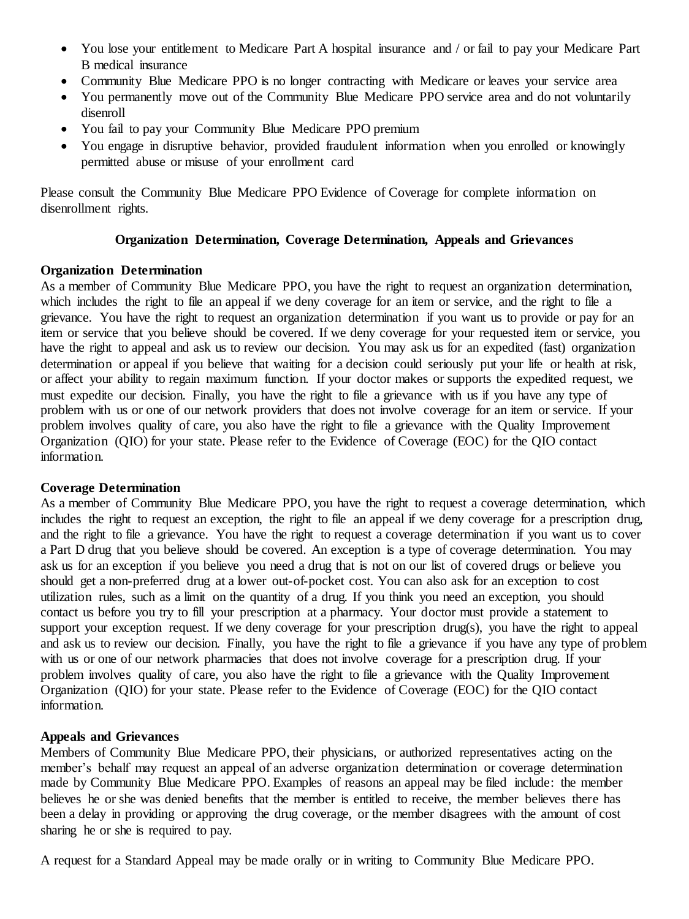- You lose your entitlement to Medicare Part A hospital insurance and / or fail to pay your Medicare Part B medical insurance
- Community Blue Medicare PPO is no longer contracting with Medicare or leaves your service area
- You permanently move out of the Community Blue Medicare PPO service area and do not voluntarily disenroll
- You fail to pay your Community Blue Medicare PPO premium
- You engage in disruptive behavior, provided fraudulent information when you enrolled or knowingly permitted abuse or misuse of your enrollment card

Please consult the Community Blue Medicare PPO Evidence of Coverage for complete information on disenrollment rights.

# **Organization Determination, Coverage Determination, Appeals and Grievances**

# **Organization Determination**

As a member of Community Blue Medicare PPO, you have the right to request an organization determination. which includes the right to file an appeal if we deny coverage for an item or service, and the right to file a grievance. You have the right to request an organization determination if you want us to provide or pay for an item or service that you believe should be covered. If we deny coverage for your requested item or service, you have the right to appeal and ask us to review our decision. You may ask us for an expedited (fast) organization determination or appeal if you believe that waiting for a decision could seriously put your life or health at risk, or affect your ability to regain maximum function. If your doctor makes or supports the expedited request, we must expedite our decision. Finally, you have the right to file a grievance with us if you have any type of problem with us or one of our network providers that does not involve coverage for an item or service. If your problem involves quality of care, you also have the right to file a grievance with the Quality Improvement Organization (QIO) for your state. Please refer to the Evidence of Coverage (EOC) for the QIO contact information.

# **Coverage Determination**

As a member of Community Blue Medicare PPO, you have the right to request a coverage determination, which includes the right to request an exception, the right to file an appeal if we deny coverage for a prescription drug, and the right to file a grievance. You have the right to request a coverage determination if you want us to cover a Part D drug that you believe should be covered. An exception is a type of coverage determination. You may ask us for an exception if you believe you need a drug that is not on our list of covered drugs or believe you should get a non-preferred drug at a lower out-of-pocket cost. You can also ask for an exception to cost utilization rules, such as a limit on the quantity of a drug. If you think you need an exception, you should contact us before you try to fill your prescription at a pharmacy. Your doctor must provide a statement to support your exception request. If we deny coverage for your prescription drug(s), you have the right to appeal and ask us to review our decision. Finally, you have the right to file a grievance if you have any type of problem with us or one of our network pharmacies that does not involve coverage for a prescription drug. If your problem involves quality of care, you also have the right to file a grievance with the Quality Improvement Organization (QIO) for your state. Please refer to the Evidence of Coverage (EOC) for the QIO contact information.

# **Appeals and Grievances**

Members of Community Blue Medicare PPO, their physicians, or authorized representatives acting on the member's behalf may request an appeal of an adverse organization determination or coverage determination made by Community Blue Medicare PPO. Examples of reasons an appeal may be filed include: the member believes he or she was denied benefits that the member is entitled to receive, the member believes there has been a delay in providing or approving the drug coverage, or the member disagrees with the amount of cost sharing he or she is required to pay.

A request for a Standard Appeal may be made orally or in writing to Community Blue Medicare PPO.